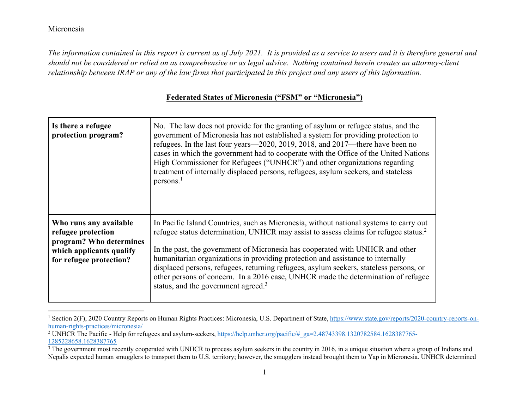*The information contained in this report is current as of July 2021. It is provided as a service to users and it is therefore general and should not be considered or relied on as comprehensive or as legal advice. Nothing contained herein creates an attorney-client relationship between IRAP or any of the law firms that participated in this project and any users of this information.* 

| <b>Federated States of Micronesia ("FSM" or "Micronesia")</b> |  |  |
|---------------------------------------------------------------|--|--|
|                                                               |  |  |

| Is there a refugee<br>protection program?                                                                                      | No. The law does not provide for the granting of asylum or refugee status, and the<br>government of Micronesia has not established a system for providing protection to<br>refugees. In the last four years—2020, 2019, 2018, and 2017—there have been no<br>cases in which the government had to cooperate with the Office of the United Nations<br>High Commissioner for Refugees ("UNHCR") and other organizations regarding<br>treatment of internally displaced persons, refugees, asylum seekers, and stateless<br>persons <sup>1</sup>                                                    |
|--------------------------------------------------------------------------------------------------------------------------------|--------------------------------------------------------------------------------------------------------------------------------------------------------------------------------------------------------------------------------------------------------------------------------------------------------------------------------------------------------------------------------------------------------------------------------------------------------------------------------------------------------------------------------------------------------------------------------------------------|
| Who runs any available<br>refugee protection<br>program? Who determines<br>which applicants qualify<br>for refugee protection? | In Pacific Island Countries, such as Micronesia, without national systems to carry out<br>refugee status determination, UNHCR may assist to assess claims for refugee status. <sup>2</sup><br>In the past, the government of Micronesia has cooperated with UNHCR and other<br>humanitarian organizations in providing protection and assistance to internally<br>displaced persons, refugees, returning refugees, asylum seekers, stateless persons, or<br>other persons of concern. In a 2016 case, UNHCR made the determination of refugee<br>status, and the government agreed. <sup>3</sup> |

<sup>&</sup>lt;sup>1</sup> Section 2(F), 2020 Country Reports on Human Rights Practices: Micronesia, U.S. Department of State, https://www.state.gov/reports/2020-country-reports-onhuman-rights-practices/micronesia/

<sup>&</sup>lt;sup>2</sup> UNHCR The Pacific - Help for refugees and asylum-seekers, https://help.unhcr.org/pacific/#\_ga=2.48743398.1320782584.1628387765-1285228658.1628387765

 $\overline{3}$  The government most recently cooperated with UNHCR to process asylum seekers in the country in 2016, in a unique situation where a group of Indians and Nepalis expected human smugglers to transport them to U.S. territory; however, the smugglers instead brought them to Yap in Micronesia. UNHCR determined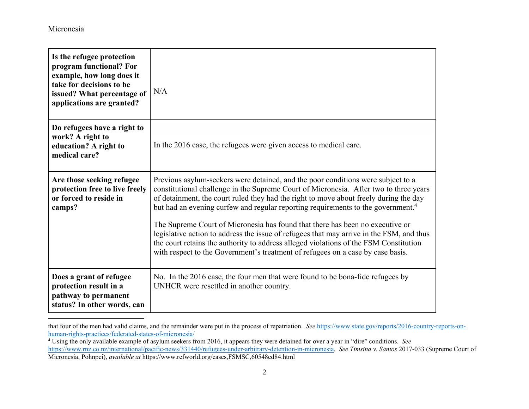| Is the refugee protection<br>program functional? For<br>example, how long does it<br>take for decisions to be<br>issued? What percentage of<br>applications are granted? | N/A                                                                                                                                                                                                                                                                                                                                                                                                                                                                                                                                                                                                                                                                                                                         |
|--------------------------------------------------------------------------------------------------------------------------------------------------------------------------|-----------------------------------------------------------------------------------------------------------------------------------------------------------------------------------------------------------------------------------------------------------------------------------------------------------------------------------------------------------------------------------------------------------------------------------------------------------------------------------------------------------------------------------------------------------------------------------------------------------------------------------------------------------------------------------------------------------------------------|
| Do refugees have a right to<br>work? A right to<br>education? A right to<br>medical care?                                                                                | In the 2016 case, the refugees were given access to medical care.                                                                                                                                                                                                                                                                                                                                                                                                                                                                                                                                                                                                                                                           |
| Are those seeking refugee<br>protection free to live freely<br>or forced to reside in<br>camps?                                                                          | Previous asylum-seekers were detained, and the poor conditions were subject to a<br>constitutional challenge in the Supreme Court of Micronesia. After two to three years<br>of detainment, the court ruled they had the right to move about freely during the day<br>but had an evening curfew and regular reporting requirements to the government. <sup>4</sup><br>The Supreme Court of Micronesia has found that there has been no executive or<br>legislative action to address the issue of refugees that may arrive in the FSM, and thus<br>the court retains the authority to address alleged violations of the FSM Constitution<br>with respect to the Government's treatment of refugees on a case by case basis. |
| Does a grant of refugee<br>protection result in a<br>pathway to permanent<br>status? In other words, can                                                                 | No. In the 2016 case, the four men that were found to be bona-fide refugees by<br>UNHCR were resettled in another country.                                                                                                                                                                                                                                                                                                                                                                                                                                                                                                                                                                                                  |

that four of the men had valid claims, and the remainder were put in the process of repatriation. *See* https://www.state.gov/reports/2016-country-reports-onhuman-rights-practices/federated-states-of-micronesia/

<sup>4</sup> Using the only available example of asylum seekers from 2016, it appears they were detained for over a year in "dire" conditions. *See* https://www.rnz.co.nz/international/pacific-news/331440/refugees-under-arbitrary-detention-in-micronesia. *See Timsina v. Santos* 2017-033 (Supreme Court of Micronesia, Pohnpei), *available at* https://www.refworld.org/cases,FSMSC,60548ed84.html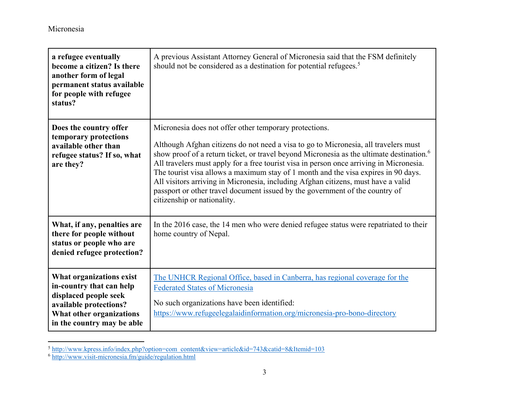| a refugee eventually<br>become a citizen? Is there<br>another form of legal<br>permanent status available<br>for people with refugee<br>status?                   | A previous Assistant Attorney General of Micronesia said that the FSM definitely<br>should not be considered as a destination for potential refugees. <sup>5</sup>                                                                                                                                                                                                                                                                                                                                                                                                                                                                         |
|-------------------------------------------------------------------------------------------------------------------------------------------------------------------|--------------------------------------------------------------------------------------------------------------------------------------------------------------------------------------------------------------------------------------------------------------------------------------------------------------------------------------------------------------------------------------------------------------------------------------------------------------------------------------------------------------------------------------------------------------------------------------------------------------------------------------------|
| Does the country offer<br>temporary protections<br>available other than<br>refugee status? If so, what<br>are they?                                               | Micronesia does not offer other temporary protections.<br>Although Afghan citizens do not need a visa to go to Micronesia, all travelers must<br>show proof of a return ticket, or travel beyond Micronesia as the ultimate destination. <sup>6</sup><br>All travelers must apply for a free tourist visa in person once arriving in Micronesia.<br>The tourist visa allows a maximum stay of 1 month and the visa expires in 90 days.<br>All visitors arriving in Micronesia, including Afghan citizens, must have a valid<br>passport or other travel document issued by the government of the country of<br>citizenship or nationality. |
| What, if any, penalties are<br>there for people without<br>status or people who are<br>denied refugee protection?                                                 | In the 2016 case, the 14 men who were denied refugee status were repatriated to their<br>home country of Nepal.                                                                                                                                                                                                                                                                                                                                                                                                                                                                                                                            |
| What organizations exist<br>in-country that can help<br>displaced people seek<br>available protections?<br>What other organizations<br>in the country may be able | The UNHCR Regional Office, based in Canberra, has regional coverage for the<br><b>Federated States of Micronesia</b><br>No such organizations have been identified:<br>https://www.refugeelegalaidinformation.org/micronesia-pro-bono-directory                                                                                                                                                                                                                                                                                                                                                                                            |

<sup>5</sup> http://www.kpress.info/index.php?option=com\_content&view=article&id=743&catid=8&Itemid=103<br><sup>6</sup> http://www.visit-micronesia.fm/guide/regulation.html